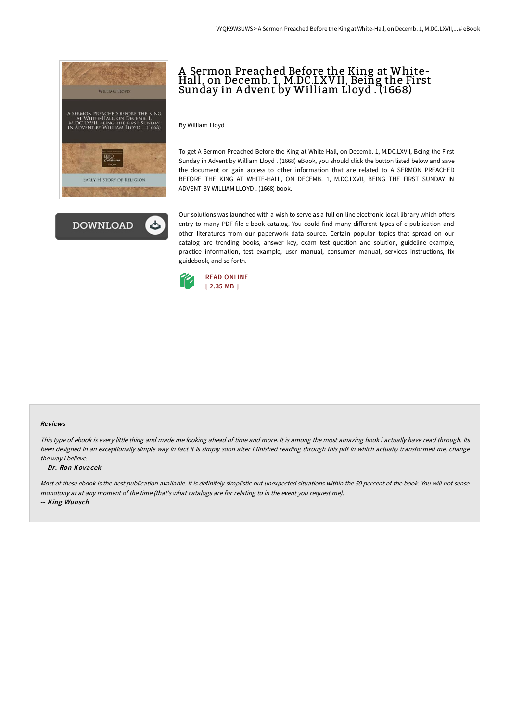



## A Sermon Preached Before the King at White-<br>Hall, on Decemb. 1, M.DC.LXVII, Being the First Sunday in A dvent by William Lloyd . (1668)

By William Lloyd

To get A Sermon Preached Before the King at White-Hall, on Decemb. 1, M.DC.LXVII, Being the First Sunday in Advent by William Lloyd . (1668) eBook, you should click the button listed below and save the document or gain access to other information that are related to A SERMON PREACHED BEFORE THE KING AT WHITE-HALL, ON DECEMB. 1, M.DC.LXVII, BEING THE FIRST SUNDAY IN ADVENT BY WILLIAM LLOYD . (1668) book.

Our solutions was launched with a wish to serve as a full on-line electronic local library which offers entry to many PDF file e-book catalog. You could find many different types of e-publication and other literatures from our paperwork data source. Certain popular topics that spread on our catalog are trending books, answer key, exam test question and solution, guideline example, practice information, test example, user manual, consumer manual, services instructions, fix guidebook, and so forth.



## Reviews

This type of ebook is every little thing and made me looking ahead of time and more. It is among the most amazing book i actually have read through. Its been designed in an exceptionally simple way in fact it is simply soon after i finished reading through this pdf in which actually transformed me, change the way i believe.

## -- Dr. Ron Kovacek

Most of these ebook is the best publication available. It is definitely simplistic but unexpected situations within the 50 percent of the book. You will not sense monotony at at any moment of the time (that's what catalogs are for relating to in the event you request me). -- King Wunsch